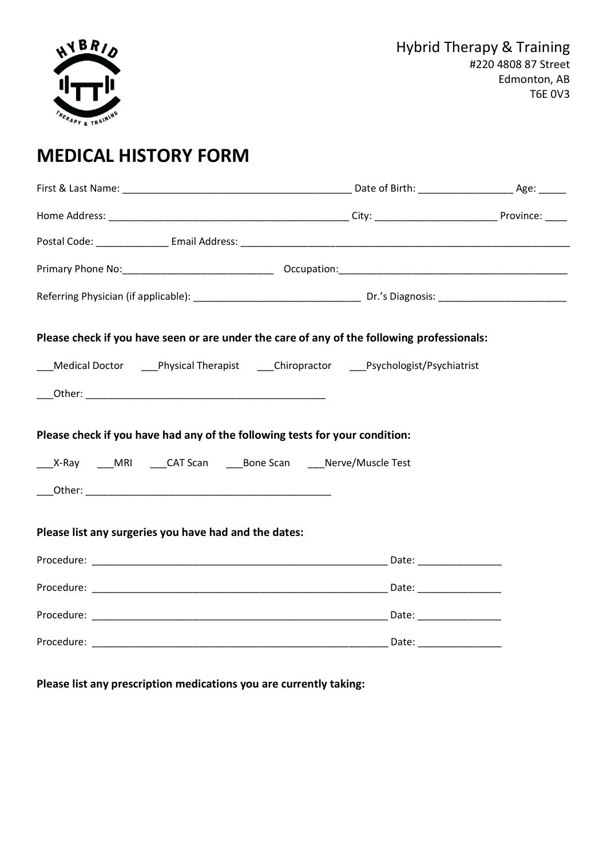

# **MEDICAL HISTORY FORM**

| Please check if you have seen or are under the care of any of the following professionals:                                                         |  |  |  |  |  |  |
|----------------------------------------------------------------------------------------------------------------------------------------------------|--|--|--|--|--|--|
| Medical Doctor Physical Therapist Chiropractor Psychologist/Psychiatrist                                                                           |  |  |  |  |  |  |
|                                                                                                                                                    |  |  |  |  |  |  |
| Please check if you have had any of the following tests for your condition:<br>____X-Ray ____MRI ____CAT Scan _____Bone Scan ____Nerve/Muscle Test |  |  |  |  |  |  |
|                                                                                                                                                    |  |  |  |  |  |  |
| Please list any surgeries you have had and the dates:                                                                                              |  |  |  |  |  |  |
|                                                                                                                                                    |  |  |  |  |  |  |
|                                                                                                                                                    |  |  |  |  |  |  |
|                                                                                                                                                    |  |  |  |  |  |  |
|                                                                                                                                                    |  |  |  |  |  |  |
|                                                                                                                                                    |  |  |  |  |  |  |

**Please list any prescription medications you are currently taking:**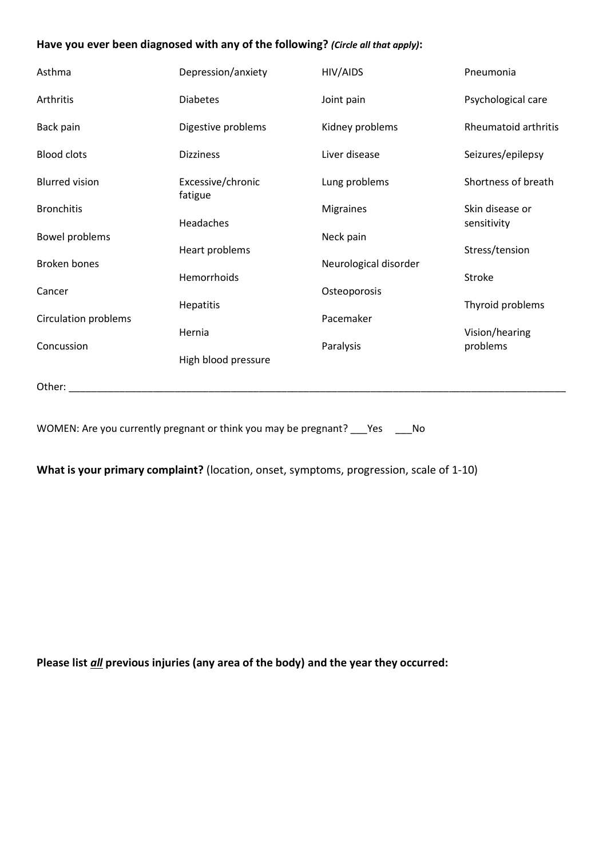#### **Have you ever been diagnosed with any of the following?** *(Circle all that apply)***:**

| Asthma                      | Depression/anxiety           | HIV/AIDS              | Pneumonia                      |
|-----------------------------|------------------------------|-----------------------|--------------------------------|
| Arthritis                   | <b>Diabetes</b>              | Joint pain            | Psychological care             |
| Back pain                   | Digestive problems           | Kidney problems       | Rheumatoid arthritis           |
| <b>Blood clots</b>          | <b>Dizziness</b>             | Liver disease         | Seizures/epilepsy              |
| <b>Blurred vision</b>       | Excessive/chronic<br>fatigue | Lung problems         | Shortness of breath            |
| <b>Bronchitis</b>           | Headaches                    | <b>Migraines</b>      | Skin disease or<br>sensitivity |
| Bowel problems              |                              | Neck pain             |                                |
|                             | Heart problems               |                       | Stress/tension                 |
| <b>Broken bones</b>         |                              | Neurological disorder |                                |
|                             | Hemorrhoids                  |                       | Stroke                         |
| Cancer                      |                              | Osteoporosis          |                                |
| <b>Circulation problems</b> | Hepatitis                    | Pacemaker             | Thyroid problems               |
|                             | Hernia                       |                       | Vision/hearing                 |
| Concussion                  |                              | Paralysis             | problems                       |
|                             | High blood pressure          |                       |                                |
| Other:                      |                              |                       |                                |

WOMEN: Are you currently pregnant or think you may be pregnant? \_\_\_Yes \_\_\_No

**What is your primary complaint?** (location, onset, symptoms, progression, scale of 1-10)

**Please list** *all* **previous injuries (any area of the body) and the year they occurred:**